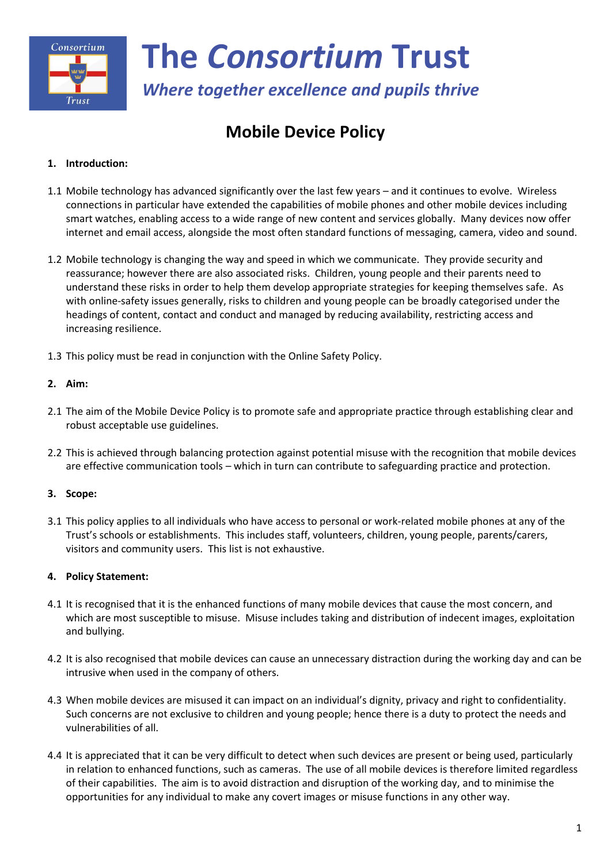

*Where together excellence and pupils thrive*

# **Mobile Device Policy**

### **1. Introduction:**

- 1.1 Mobile technology has advanced significantly over the last few years and it continues to evolve. Wireless connections in particular have extended the capabilities of mobile phones and other mobile devices including smart watches, enabling access to a wide range of new content and services globally. Many devices now offer internet and email access, alongside the most often standard functions of messaging, camera, video and sound.
- 1.2 Mobile technology is changing the way and speed in which we communicate. They provide security and reassurance; however there are also associated risks. Children, young people and their parents need to understand these risks in order to help them develop appropriate strategies for keeping themselves safe. As with online-safety issues generally, risks to children and young people can be broadly categorised under the headings of content, contact and conduct and managed by reducing availability, restricting access and increasing resilience.
- 1.3 This policy must be read in conjunction with the Online Safety Policy.

#### **2. Aim:**

- 2.1 The aim of the Mobile Device Policy is to promote safe and appropriate practice through establishing clear and robust acceptable use guidelines.
- 2.2 This is achieved through balancing protection against potential misuse with the recognition that mobile devices are effective communication tools – which in turn can contribute to safeguarding practice and protection.

## **3. Scope:**

3.1 This policy applies to all individuals who have access to personal or work-related mobile phones at any of the Trust's schools or establishments. This includes staff, volunteers, children, young people, parents/carers, visitors and community users. This list is not exhaustive.

#### **4. Policy Statement:**

- 4.1 It is recognised that it is the enhanced functions of many mobile devices that cause the most concern, and which are most susceptible to misuse. Misuse includes taking and distribution of indecent images, exploitation and bullying.
- 4.2 It is also recognised that mobile devices can cause an unnecessary distraction during the working day and can be intrusive when used in the company of others.
- 4.3 When mobile devices are misused it can impact on an individual's dignity, privacy and right to confidentiality. Such concerns are not exclusive to children and young people; hence there is a duty to protect the needs and vulnerabilities of all.
- 4.4 It is appreciated that it can be very difficult to detect when such devices are present or being used, particularly in relation to enhanced functions, such as cameras. The use of all mobile devices is therefore limited regardless of their capabilities. The aim is to avoid distraction and disruption of the working day, and to minimise the opportunities for any individual to make any covert images or misuse functions in any other way.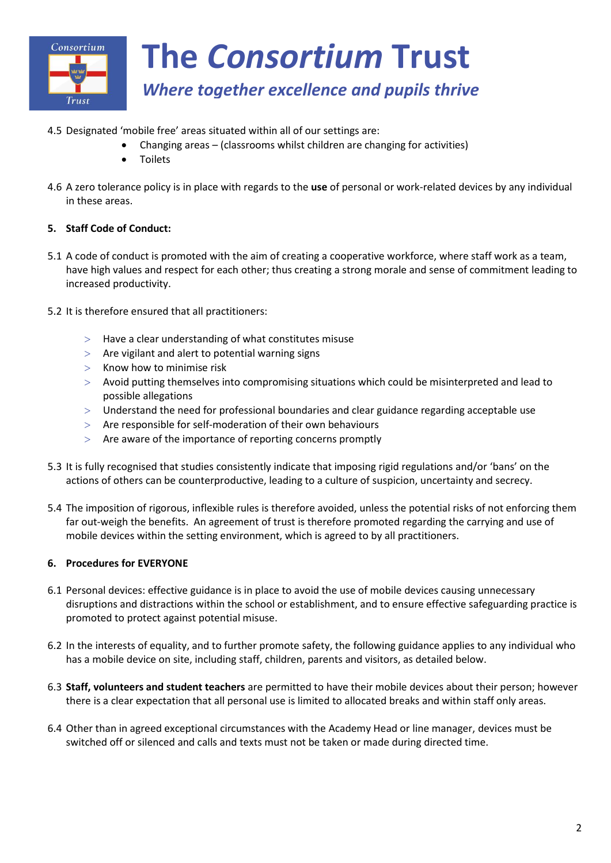

## *Where together excellence and pupils thrive*

- 4.5 Designated 'mobile free' areas situated within all of our settings are:
	- Changing areas (classrooms whilst children are changing for activities)
	- Toilets
- 4.6 A zero tolerance policy is in place with regards to the **use** of personal or work-related devices by any individual in these areas.

#### **5. Staff Code of Conduct:**

- 5.1 A code of conduct is promoted with the aim of creating a cooperative workforce, where staff work as a team, have high values and respect for each other; thus creating a strong morale and sense of commitment leading to increased productivity.
- 5.2 It is therefore ensured that all practitioners:
	- $>$  Have a clear understanding of what constitutes misuse
	- $>$  Are vigilant and alert to potential warning signs
	- $>$  Know how to minimise risk
	- Avoid putting themselves into compromising situations which could be misinterpreted and lead to possible allegations
	- Understand the need for professional boundaries and clear guidance regarding acceptable use
	- $>$  Are responsible for self-moderation of their own behaviours
	- $>$  Are aware of the importance of reporting concerns promptly
- 5.3 It is fully recognised that studies consistently indicate that imposing rigid regulations and/or 'bans' on the actions of others can be counterproductive, leading to a culture of suspicion, uncertainty and secrecy.
- 5.4 The imposition of rigorous, inflexible rules is therefore avoided, unless the potential risks of not enforcing them far out-weigh the benefits. An agreement of trust is therefore promoted regarding the carrying and use of mobile devices within the setting environment, which is agreed to by all practitioners.

#### **6. Procedures for EVERYONE**

- 6.1 Personal devices: effective guidance is in place to avoid the use of mobile devices causing unnecessary disruptions and distractions within the school or establishment, and to ensure effective safeguarding practice is promoted to protect against potential misuse.
- 6.2 In the interests of equality, and to further promote safety, the following guidance applies to any individual who has a mobile device on site, including staff, children, parents and visitors, as detailed below.
- 6.3 **Staff, volunteers and student teachers** are permitted to have their mobile devices about their person; however there is a clear expectation that all personal use is limited to allocated breaks and within staff only areas.
- 6.4 Other than in agreed exceptional circumstances with the Academy Head or line manager, devices must be switched off or silenced and calls and texts must not be taken or made during directed time.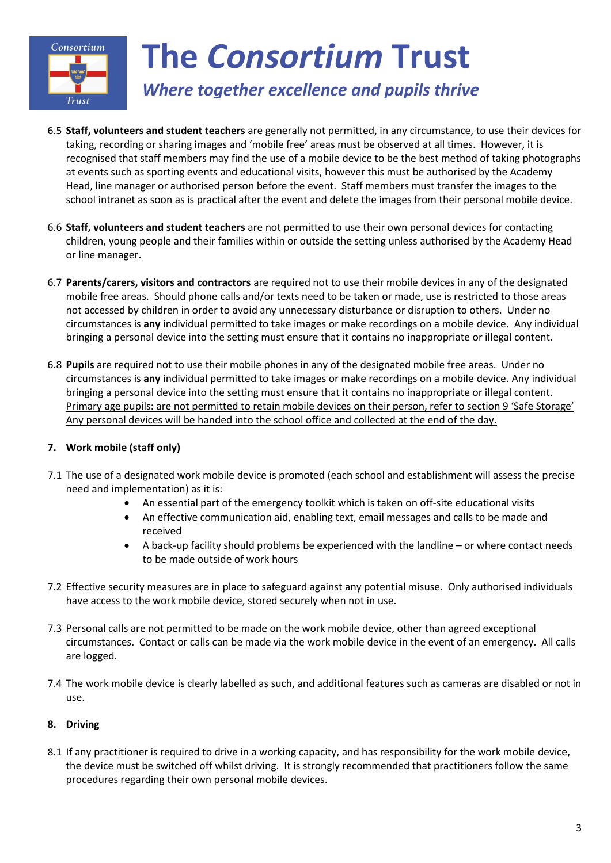

# *Where together excellence and pupils thrive*

- 6.5 **Staff, volunteers and student teachers** are generally not permitted, in any circumstance, to use their devices for taking, recording or sharing images and 'mobile free' areas must be observed at all times. However, it is recognised that staff members may find the use of a mobile device to be the best method of taking photographs at events such as sporting events and educational visits, however this must be authorised by the Academy Head, line manager or authorised person before the event. Staff members must transfer the images to the school intranet as soon as is practical after the event and delete the images from their personal mobile device.
- 6.6 **Staff, volunteers and student teachers** are not permitted to use their own personal devices for contacting children, young people and their families within or outside the setting unless authorised by the Academy Head or line manager.
- 6.7 **Parents/carers, visitors and contractors** are required not to use their mobile devices in any of the designated mobile free areas. Should phone calls and/or texts need to be taken or made, use is restricted to those areas not accessed by children in order to avoid any unnecessary disturbance or disruption to others. Under no circumstances is **any** individual permitted to take images or make recordings on a mobile device. Any individual bringing a personal device into the setting must ensure that it contains no inappropriate or illegal content.
- 6.8 **Pupils** are required not to use their mobile phones in any of the designated mobile free areas. Under no circumstances is **any** individual permitted to take images or make recordings on a mobile device. Any individual bringing a personal device into the setting must ensure that it contains no inappropriate or illegal content. Primary age pupils: are not permitted to retain mobile devices on their person, refer to section 9 'Safe Storage' Any personal devices will be handed into the school office and collected at the end of the day.

## **7. Work mobile (staff only)**

- 7.1 The use of a designated work mobile device is promoted (each school and establishment will assess the precise need and implementation) as it is:
	- An essential part of the emergency toolkit which is taken on off-site educational visits
	- An effective communication aid, enabling text, email messages and calls to be made and received
	- A back-up facility should problems be experienced with the landline or where contact needs to be made outside of work hours
- 7.2 Effective security measures are in place to safeguard against any potential misuse. Only authorised individuals have access to the work mobile device, stored securely when not in use.
- 7.3 Personal calls are not permitted to be made on the work mobile device, other than agreed exceptional circumstances. Contact or calls can be made via the work mobile device in the event of an emergency. All calls are logged.
- 7.4 The work mobile device is clearly labelled as such, and additional features such as cameras are disabled or not in use.

## **8. Driving**

8.1 If any practitioner is required to drive in a working capacity, and has responsibility for the work mobile device, the device must be switched off whilst driving. It is strongly recommended that practitioners follow the same procedures regarding their own personal mobile devices.